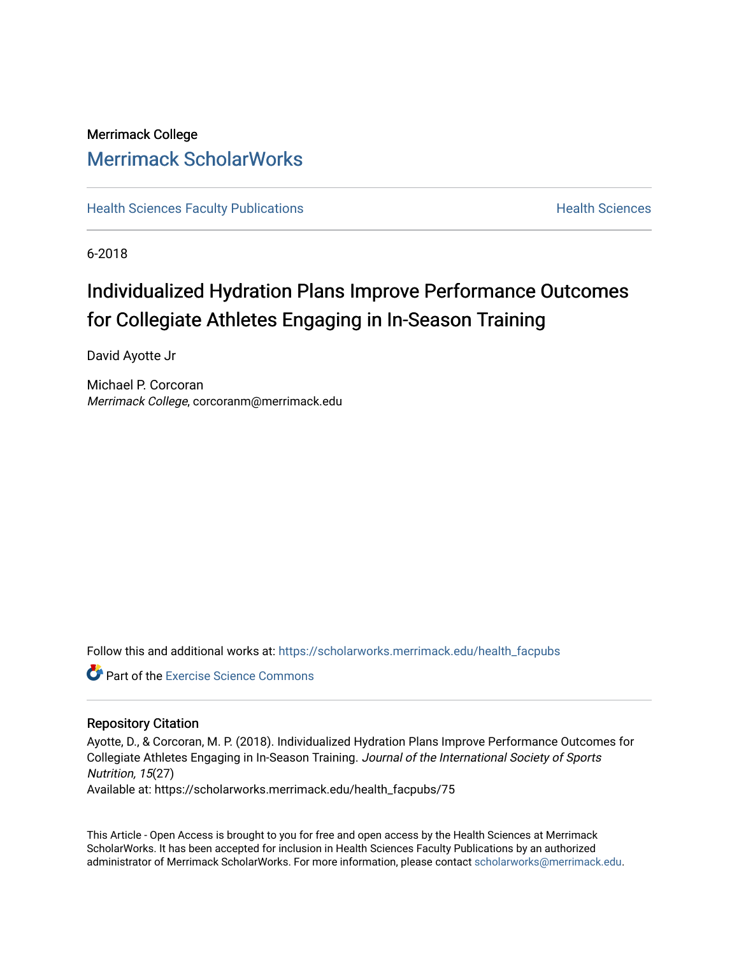## Merrimack College [Merrimack ScholarWorks](https://scholarworks.merrimack.edu/)

**[Health Sciences Faculty Publications](https://scholarworks.merrimack.edu/health_facpubs) Mealth Sciences Health Sciences** Health Sciences

6-2018

## Individualized Hydration Plans Improve Performance Outcomes for Collegiate Athletes Engaging in In-Season Training

David Ayotte Jr

Michael P. Corcoran Merrimack College, corcoranm@merrimack.edu

Follow this and additional works at: [https://scholarworks.merrimack.edu/health\\_facpubs](https://scholarworks.merrimack.edu/health_facpubs?utm_source=scholarworks.merrimack.edu%2Fhealth_facpubs%2F75&utm_medium=PDF&utm_campaign=PDFCoverPages) 

**C** Part of the [Exercise Science Commons](http://network.bepress.com/hgg/discipline/1091?utm_source=scholarworks.merrimack.edu%2Fhealth_facpubs%2F75&utm_medium=PDF&utm_campaign=PDFCoverPages)

#### Repository Citation

Ayotte, D., & Corcoran, M. P. (2018). Individualized Hydration Plans Improve Performance Outcomes for Collegiate Athletes Engaging in In-Season Training. Journal of the International Society of Sports Nutrition, 15(27)

Available at: https://scholarworks.merrimack.edu/health\_facpubs/75

This Article - Open Access is brought to you for free and open access by the Health Sciences at Merrimack ScholarWorks. It has been accepted for inclusion in Health Sciences Faculty Publications by an authorized administrator of Merrimack ScholarWorks. For more information, please contact [scholarworks@merrimack.edu](mailto:scholarworks@merrimack.edu).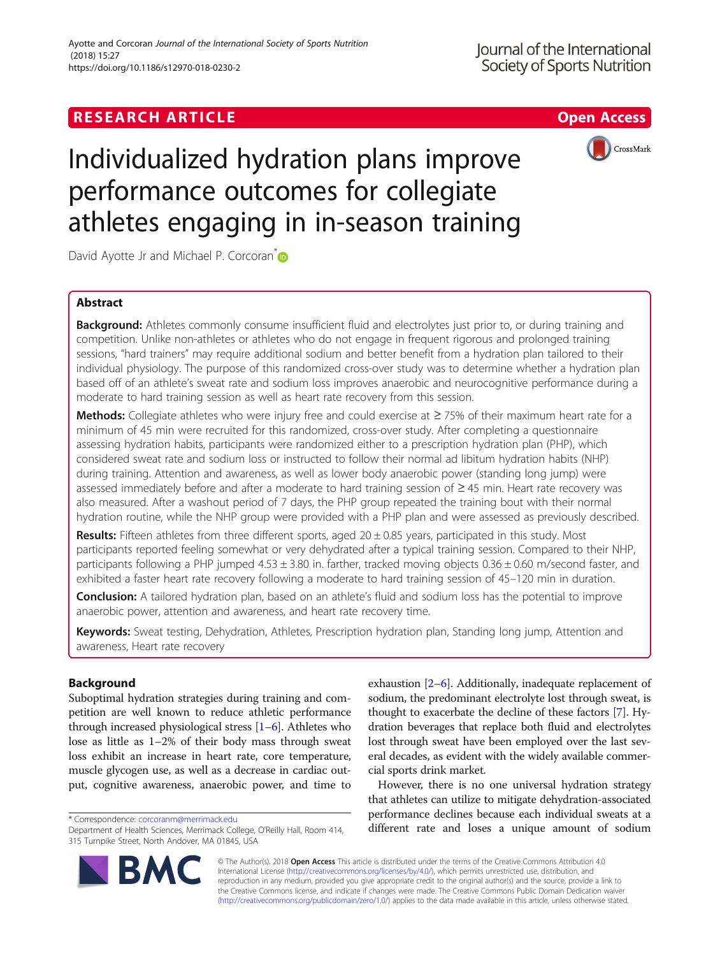### **RESEARCH ARTICLE Example 2018 12:30 The Contract of Contract ACCESS**



# Individualized hydration plans improve performance outcomes for collegiate athletes engaging in in-season training

David Ayotte Jr and Michael P. Corcoran<sup>\*</sup>

#### Abstract

Background: Athletes commonly consume insufficient fluid and electrolytes just prior to, or during training and competition. Unlike non-athletes or athletes who do not engage in frequent rigorous and prolonged training sessions, "hard trainers" may require additional sodium and better benefit from a hydration plan tailored to their individual physiology. The purpose of this randomized cross-over study was to determine whether a hydration plan based off of an athlete's sweat rate and sodium loss improves anaerobic and neurocognitive performance during a moderate to hard training session as well as heart rate recovery from this session.

Methods: Collegiate athletes who were injury free and could exercise at ≥75% of their maximum heart rate for a minimum of 45 min were recruited for this randomized, cross-over study. After completing a questionnaire assessing hydration habits, participants were randomized either to a prescription hydration plan (PHP), which considered sweat rate and sodium loss or instructed to follow their normal ad libitum hydration habits (NHP) during training. Attention and awareness, as well as lower body anaerobic power (standing long jump) were assessed immediately before and after a moderate to hard training session of ≥ 45 min. Heart rate recovery was also measured. After a washout period of 7 days, the PHP group repeated the training bout with their normal hydration routine, while the NHP group were provided with a PHP plan and were assessed as previously described.

**Results:** Fifteen athletes from three different sports, aged  $20 \pm 0.85$  years, participated in this study. Most participants reported feeling somewhat or very dehydrated after a typical training session. Compared to their NHP, participants following a PHP jumped  $4.53 \pm 3.80$  in. farther, tracked moving objects  $0.36 \pm 0.60$  m/second faster, and exhibited a faster heart rate recovery following a moderate to hard training session of 45–120 min in duration.

**Conclusion:** A tailored hydration plan, based on an athlete's fluid and sodium loss has the potential to improve anaerobic power, attention and awareness, and heart rate recovery time.

Keywords: Sweat testing, Dehydration, Athletes, Prescription hydration plan, Standing long jump, Attention and awareness, Heart rate recovery

#### Background

Suboptimal hydration strategies during training and competition are well known to reduce athletic performance through increased physiological stress [\[1](#page-9-0)–[6\]](#page-9-0). Athletes who lose as little as 1–2% of their body mass through sweat loss exhibit an increase in heart rate, core temperature, muscle glycogen use, as well as a decrease in cardiac output, cognitive awareness, anaerobic power, and time to

exhaustion [\[2](#page-9-0)–[6\]](#page-9-0). Additionally, inadequate replacement of sodium, the predominant electrolyte lost through sweat, is thought to exacerbate the decline of these factors [\[7](#page-9-0)]. Hydration beverages that replace both fluid and electrolytes lost through sweat have been employed over the last several decades, as evident with the widely available commercial sports drink market.

However, there is no one universal hydration strategy that athletes can utilize to mitigate dehydration-associated performance declines because each individual sweats at a torrespondence: corcoranm@merrimackedu<br>Department of Health Sciences, Merrimack College, O'Reilly Hall, Room 414. **different rate and loses a unique amount of sodium** 



© The Author(s). 2018 Open Access This article is distributed under the terms of the Creative Commons Attribution 4.0 International License [\(http://creativecommons.org/licenses/by/4.0/](http://creativecommons.org/licenses/by/4.0/)), which permits unrestricted use, distribution, and reproduction in any medium, provided you give appropriate credit to the original author(s) and the source, provide a link to the Creative Commons license, and indicate if changes were made. The Creative Commons Public Domain Dedication waiver [\(http://creativecommons.org/publicdomain/zero/1.0/](http://creativecommons.org/publicdomain/zero/1.0/)) applies to the data made available in this article, unless otherwise stated.

Department of Health Sciences, Merrimack College, O'Reilly Hall, Room 414, 315 Turnpike Street, North Andover, MA 01845, USA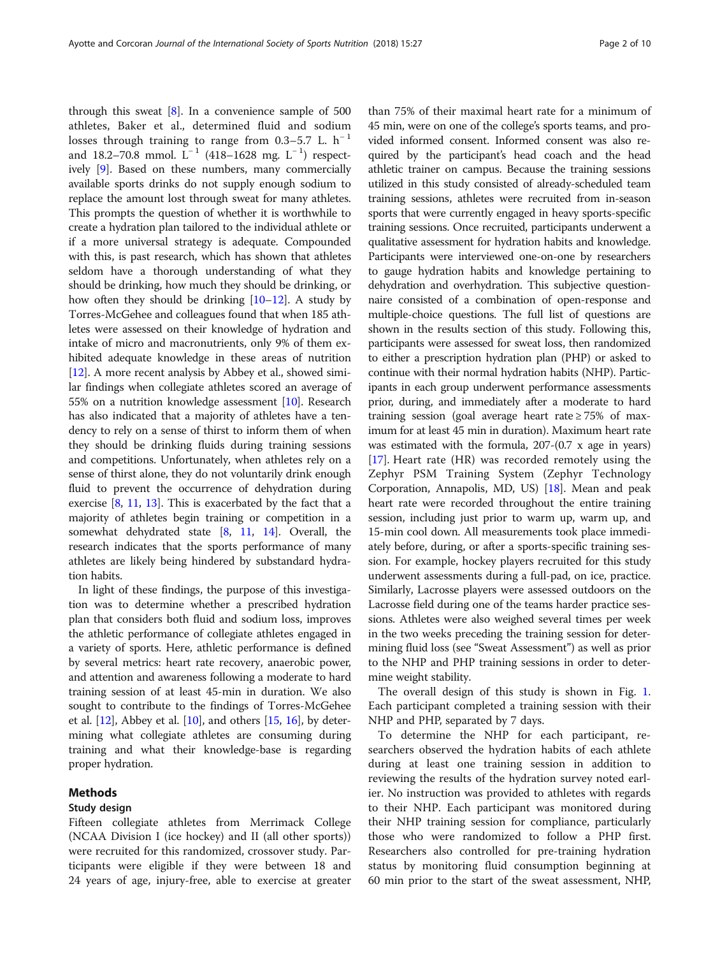through this sweat  $[8]$  $[8]$  $[8]$ . In a convenience sample of 500 athletes, Baker et al., determined fluid and sodium losses through training to range from 0.3–5.7 L.  $h^{-1}$ and 18.2–70.8 mmol. L<sup>-1</sup> (418–1628 mg. L<sup>-1</sup>) respectively [[9\]](#page-9-0). Based on these numbers, many commercially available sports drinks do not supply enough sodium to replace the amount lost through sweat for many athletes. This prompts the question of whether it is worthwhile to create a hydration plan tailored to the individual athlete or if a more universal strategy is adequate. Compounded with this, is past research, which has shown that athletes seldom have a thorough understanding of what they should be drinking, how much they should be drinking, or how often they should be drinking [[10](#page-9-0)–[12\]](#page-9-0). A study by Torres-McGehee and colleagues found that when 185 athletes were assessed on their knowledge of hydration and intake of micro and macronutrients, only 9% of them exhibited adequate knowledge in these areas of nutrition [[12](#page-9-0)]. A more recent analysis by Abbey et al., showed similar findings when collegiate athletes scored an average of 55% on a nutrition knowledge assessment [\[10\]](#page-9-0). Research has also indicated that a majority of athletes have a tendency to rely on a sense of thirst to inform them of when they should be drinking fluids during training sessions and competitions. Unfortunately, when athletes rely on a sense of thirst alone, they do not voluntarily drink enough fluid to prevent the occurrence of dehydration during exercise  $[8, 11, 13]$  $[8, 11, 13]$  $[8, 11, 13]$  $[8, 11, 13]$  $[8, 11, 13]$ . This is exacerbated by the fact that a majority of athletes begin training or competition in a somewhat dehydrated state [[8,](#page-9-0) [11](#page-9-0), [14](#page-9-0)]. Overall, the research indicates that the sports performance of many athletes are likely being hindered by substandard hydration habits.

In light of these findings, the purpose of this investigation was to determine whether a prescribed hydration plan that considers both fluid and sodium loss, improves the athletic performance of collegiate athletes engaged in a variety of sports. Here, athletic performance is defined by several metrics: heart rate recovery, anaerobic power, and attention and awareness following a moderate to hard training session of at least 45-min in duration. We also sought to contribute to the findings of Torres-McGehee et al.  $[12]$ , Abbey et al.  $[10]$  $[10]$ , and others  $[15, 16]$  $[15, 16]$  $[15, 16]$ , by determining what collegiate athletes are consuming during training and what their knowledge-base is regarding proper hydration.

#### Methods

#### Study design

Fifteen collegiate athletes from Merrimack College (NCAA Division I (ice hockey) and II (all other sports)) were recruited for this randomized, crossover study. Participants were eligible if they were between 18 and 24 years of age, injury-free, able to exercise at greater

than 75% of their maximal heart rate for a minimum of 45 min, were on one of the college's sports teams, and provided informed consent. Informed consent was also required by the participant's head coach and the head athletic trainer on campus. Because the training sessions utilized in this study consisted of already-scheduled team training sessions, athletes were recruited from in-season sports that were currently engaged in heavy sports-specific training sessions. Once recruited, participants underwent a qualitative assessment for hydration habits and knowledge. Participants were interviewed one-on-one by researchers to gauge hydration habits and knowledge pertaining to dehydration and overhydration. This subjective questionnaire consisted of a combination of open-response and multiple-choice questions. The full list of questions are shown in the results section of this study. Following this, participants were assessed for sweat loss, then randomized to either a prescription hydration plan (PHP) or asked to continue with their normal hydration habits (NHP). Participants in each group underwent performance assessments prior, during, and immediately after a moderate to hard training session (goal average heart rate  $\geq$  75% of maximum for at least 45 min in duration). Maximum heart rate was estimated with the formula, 207-(0.7 x age in years) [[17](#page-9-0)]. Heart rate (HR) was recorded remotely using the Zephyr PSM Training System (Zephyr Technology Corporation, Annapolis, MD, US) [\[18](#page-9-0)]. Mean and peak heart rate were recorded throughout the entire training session, including just prior to warm up, warm up, and 15-min cool down. All measurements took place immediately before, during, or after a sports-specific training session. For example, hockey players recruited for this study underwent assessments during a full-pad, on ice, practice. Similarly, Lacrosse players were assessed outdoors on the Lacrosse field during one of the teams harder practice sessions. Athletes were also weighed several times per week in the two weeks preceding the training session for determining fluid loss (see "Sweat Assessment") as well as prior to the NHP and PHP training sessions in order to determine weight stability.

The overall design of this study is shown in Fig. [1](#page-3-0). Each participant completed a training session with their NHP and PHP, separated by 7 days.

To determine the NHP for each participant, researchers observed the hydration habits of each athlete during at least one training session in addition to reviewing the results of the hydration survey noted earlier. No instruction was provided to athletes with regards to their NHP. Each participant was monitored during their NHP training session for compliance, particularly those who were randomized to follow a PHP first. Researchers also controlled for pre-training hydration status by monitoring fluid consumption beginning at 60 min prior to the start of the sweat assessment, NHP,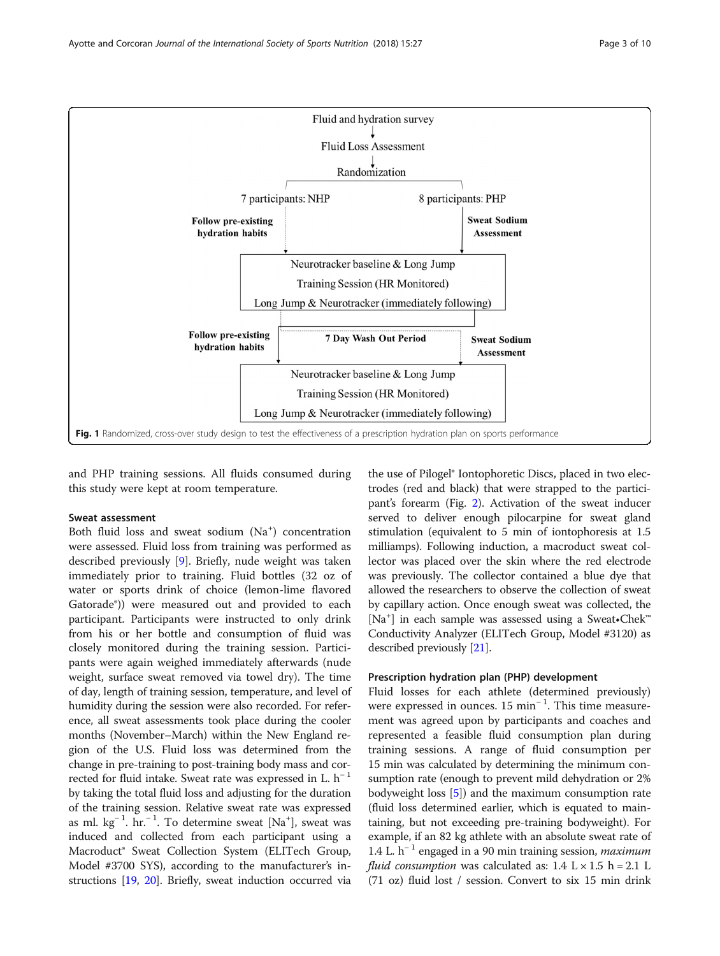<span id="page-3-0"></span>

and PHP training sessions. All fluids consumed during this study were kept at room temperature.

#### Sweat assessment

Both fluid loss and sweat sodium (Na<sup>+</sup>) concentration were assessed. Fluid loss from training was performed as described previously [[9\]](#page-9-0). Briefly, nude weight was taken immediately prior to training. Fluid bottles (32 oz of water or sports drink of choice (lemon-lime flavored Gatorade®)) were measured out and provided to each participant. Participants were instructed to only drink from his or her bottle and consumption of fluid was closely monitored during the training session. Participants were again weighed immediately afterwards (nude weight, surface sweat removed via towel dry). The time of day, length of training session, temperature, and level of humidity during the session were also recorded. For reference, all sweat assessments took place during the cooler months (November–March) within the New England region of the U.S. Fluid loss was determined from the change in pre-training to post-training body mass and corrected for fluid intake. Sweat rate was expressed in L.  $h^{-1}$ by taking the total fluid loss and adjusting for the duration of the training session. Relative sweat rate was expressed as ml. kg<sup>-1</sup>. hr.<sup>-1</sup>. To determine sweat [Na<sup>+</sup>], sweat was induced and collected from each participant using a Macroduct® Sweat Collection System (ELITech Group, Model #3700 SYS), according to the manufacturer's instructions [[19](#page-9-0), [20](#page-9-0)]. Briefly, sweat induction occurred via

the use of Pilogel® Iontophoretic Discs, placed in two electrodes (red and black) that were strapped to the participant's forearm (Fig. [2](#page-4-0)). Activation of the sweat inducer served to deliver enough pilocarpine for sweat gland stimulation (equivalent to 5 min of iontophoresis at 1.5 milliamps). Following induction, a macroduct sweat collector was placed over the skin where the red electrode was previously. The collector contained a blue dye that allowed the researchers to observe the collection of sweat by capillary action. Once enough sweat was collected, the [Na<sup>+</sup>] in each sample was assessed using a Sweat•Chek<sup>™</sup> Conductivity Analyzer (ELITech Group, Model #3120) as described previously [[21](#page-9-0)].

#### Prescription hydration plan (PHP) development

Fluid losses for each athlete (determined previously) were expressed in ounces. 15 min<sup>-1</sup>. This time measurement was agreed upon by participants and coaches and represented a feasible fluid consumption plan during training sessions. A range of fluid consumption per 15 min was calculated by determining the minimum consumption rate (enough to prevent mild dehydration or 2% bodyweight loss [\[5\]](#page-9-0)) and the maximum consumption rate (fluid loss determined earlier, which is equated to maintaining, but not exceeding pre-training bodyweight). For example, if an 82 kg athlete with an absolute sweat rate of 1.4 L.  $h^{-1}$  engaged in a 90 min training session, *maximum fluid consumption* was calculated as:  $1.4 \text{ L} \times 1.5 \text{ h} = 2.1 \text{ L}$ (71 oz) fluid lost / session. Convert to six 15 min drink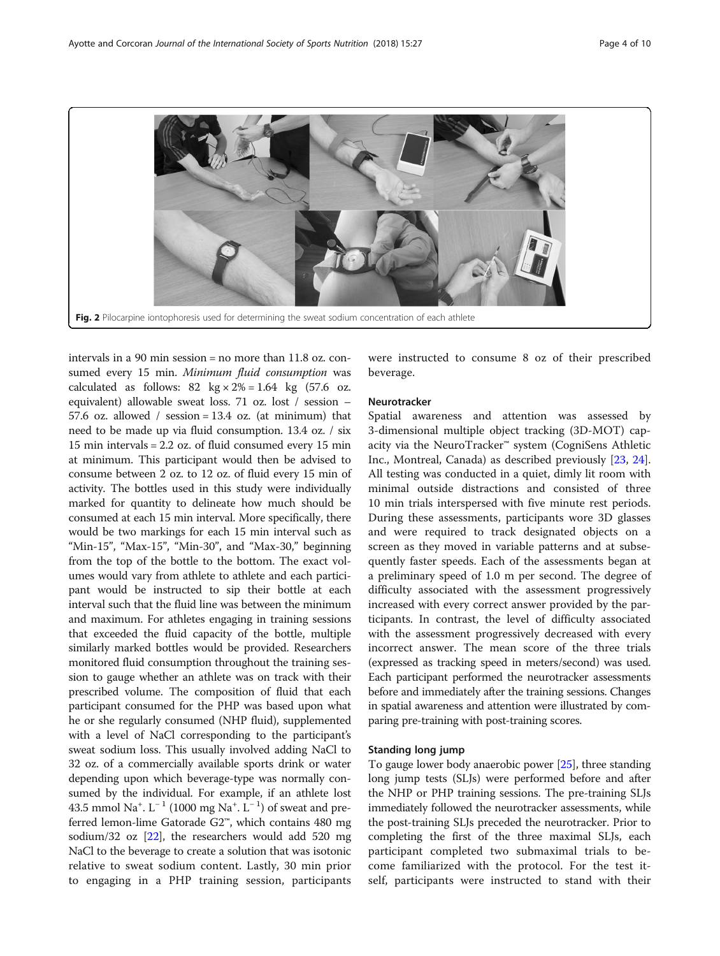<span id="page-4-0"></span>

intervals in a 90 min session = no more than 11.8 oz. consumed every 15 min. Minimum fluid consumption was calculated as follows:  $82 \text{ kg} \times 2\% = 1.64 \text{ kg}$  (57.6 oz. equivalent) allowable sweat loss. 71 oz. lost / session – 57.6 oz. allowed / session =  $13.4$  oz. (at minimum) that need to be made up via fluid consumption. 13.4 oz. / six 15 min intervals = 2.2 oz. of fluid consumed every 15 min at minimum. This participant would then be advised to consume between 2 oz. to 12 oz. of fluid every 15 min of activity. The bottles used in this study were individually marked for quantity to delineate how much should be consumed at each 15 min interval. More specifically, there would be two markings for each 15 min interval such as "Min-15", "Max-15", "Min-30", and "Max-30," beginning from the top of the bottle to the bottom. The exact volumes would vary from athlete to athlete and each participant would be instructed to sip their bottle at each interval such that the fluid line was between the minimum and maximum. For athletes engaging in training sessions that exceeded the fluid capacity of the bottle, multiple similarly marked bottles would be provided. Researchers monitored fluid consumption throughout the training session to gauge whether an athlete was on track with their prescribed volume. The composition of fluid that each participant consumed for the PHP was based upon what he or she regularly consumed (NHP fluid), supplemented with a level of NaCl corresponding to the participant's sweat sodium loss. This usually involved adding NaCl to 32 oz. of a commercially available sports drink or water depending upon which beverage-type was normally consumed by the individual. For example, if an athlete lost 43.5 mmol Na<sup>+</sup>. L<sup>-1</sup> (1000 mg Na<sup>+</sup>. L<sup>-1</sup>) of sweat and preferred lemon-lime Gatorade G2™, which contains 480 mg sodium/32 oz [[22](#page-9-0)], the researchers would add 520 mg NaCl to the beverage to create a solution that was isotonic relative to sweat sodium content. Lastly, 30 min prior to engaging in a PHP training session, participants were instructed to consume 8 oz of their prescribed beverage.

#### Neurotracker

Spatial awareness and attention was assessed by 3-dimensional multiple object tracking (3D-MOT) capacity via the NeuroTracker™ system (CogniSens Athletic Inc., Montreal, Canada) as described previously [\[23,](#page-9-0) [24](#page-9-0)]. All testing was conducted in a quiet, dimly lit room with minimal outside distractions and consisted of three 10 min trials interspersed with five minute rest periods. During these assessments, participants wore 3D glasses and were required to track designated objects on a screen as they moved in variable patterns and at subsequently faster speeds. Each of the assessments began at a preliminary speed of 1.0 m per second. The degree of difficulty associated with the assessment progressively increased with every correct answer provided by the participants. In contrast, the level of difficulty associated with the assessment progressively decreased with every incorrect answer. The mean score of the three trials (expressed as tracking speed in meters/second) was used. Each participant performed the neurotracker assessments before and immediately after the training sessions. Changes in spatial awareness and attention were illustrated by comparing pre-training with post-training scores.

#### Standing long jump

To gauge lower body anaerobic power [[25](#page-9-0)], three standing long jump tests (SLJs) were performed before and after the NHP or PHP training sessions. The pre-training SLJs immediately followed the neurotracker assessments, while the post-training SLJs preceded the neurotracker. Prior to completing the first of the three maximal SLJs, each participant completed two submaximal trials to become familiarized with the protocol. For the test itself, participants were instructed to stand with their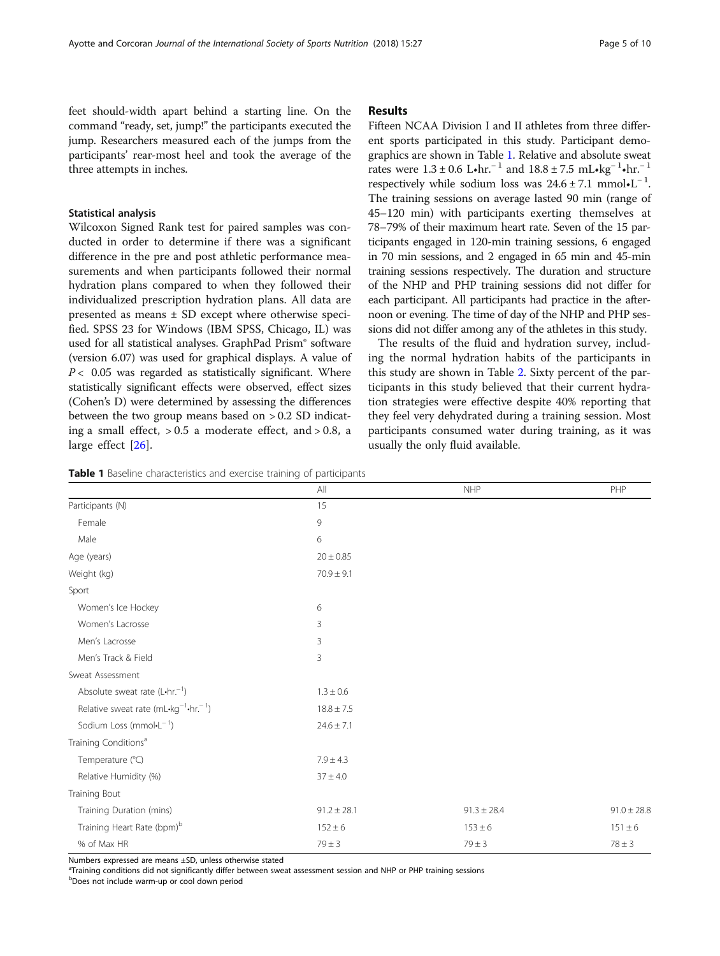feet should-width apart behind a starting line. On the command "ready, set, jump!" the participants executed the jump. Researchers measured each of the jumps from the participants' rear-most heel and took the average of the three attempts in inches.

#### Statistical analysis

Wilcoxon Signed Rank test for paired samples was conducted in order to determine if there was a significant difference in the pre and post athletic performance measurements and when participants followed their normal hydration plans compared to when they followed their individualized prescription hydration plans. All data are presented as means ± SD except where otherwise specified. SPSS 23 for Windows (IBM SPSS, Chicago, IL) was used for all statistical analyses. GraphPad Prism® software (version 6.07) was used for graphical displays. A value of  $P < 0.05$  was regarded as statistically significant. Where statistically significant effects were observed, effect sizes (Cohen's D) were determined by assessing the differences between the two group means based on > 0.2 SD indicating a small effect,  $> 0.5$  a moderate effect, and  $> 0.8$ , a large effect [[26\]](#page-10-0).

#### Results

Fifteen NCAA Division I and II athletes from three different sports participated in this study. Participant demographics are shown in Table 1. Relative and absolute sweat rates were  $1.3 \pm 0.6$  L•hr.<sup>-1</sup> and  $18.8 \pm 7.5$  mL•kg<sup>-1</sup>•hr.<sup>-1</sup> respectively while sodium loss was  $24.6 \pm 7.1$  mmol•L<sup>-1</sup>. The training sessions on average lasted 90 min (range of 45–120 min) with participants exerting themselves at 78–79% of their maximum heart rate. Seven of the 15 participants engaged in 120-min training sessions, 6 engaged in 70 min sessions, and 2 engaged in 65 min and 45-min training sessions respectively. The duration and structure of the NHP and PHP training sessions did not differ for each participant. All participants had practice in the afternoon or evening. The time of day of the NHP and PHP sessions did not differ among any of the athletes in this study.

The results of the fluid and hydration survey, including the normal hydration habits of the participants in this study are shown in Table [2](#page-6-0). Sixty percent of the participants in this study believed that their current hydration strategies were effective despite 40% reporting that they feel very dehydrated during a training session. Most participants consumed water during training, as it was usually the only fluid available.

Table 1 Baseline characteristics and exercise training of participants

|                                                               | All             | <b>NHP</b>      | PHP             |
|---------------------------------------------------------------|-----------------|-----------------|-----------------|
| Participants (N)                                              | 15              |                 |                 |
| Female                                                        | 9               |                 |                 |
| Male                                                          | 6               |                 |                 |
| Age (years)                                                   | $20 \pm 0.85$   |                 |                 |
| Weight (kg)                                                   | $70.9 \pm 9.1$  |                 |                 |
| Sport                                                         |                 |                 |                 |
| Women's Ice Hockey                                            | 6               |                 |                 |
| Women's Lacrosse                                              | 3               |                 |                 |
| Men's Lacrosse                                                | 3               |                 |                 |
| Men's Track & Field                                           | 3               |                 |                 |
| Sweat Assessment                                              |                 |                 |                 |
| Absolute sweat rate $(L \cdot hr^{-1})$                       | $1.3 \pm 0.6$   |                 |                 |
| Relative sweat rate (mL-kg <sup>-1</sup> -hr. <sup>-1</sup> ) | $18.8 \pm 7.5$  |                 |                 |
| Sodium Loss (mmol $-L^{-1}$ )                                 | $24.6 \pm 7.1$  |                 |                 |
| Training Conditions <sup>a</sup>                              |                 |                 |                 |
| Temperature (°C)                                              | $7.9 \pm 4.3$   |                 |                 |
| Relative Humidity (%)                                         | $37 \pm 4.0$    |                 |                 |
| Training Bout                                                 |                 |                 |                 |
| Training Duration (mins)                                      | $91.2 \pm 28.1$ | $91.3 \pm 28.4$ | $91.0 \pm 28.8$ |
| Training Heart Rate (bpm)b                                    | $152 \pm 6$     | $153 \pm 6$     | $151 \pm 6$     |
| % of Max HR                                                   | $79 \pm 3$      | $79 \pm 3$      | $78 \pm 3$      |

Numbers expressed are means ±SD, unless otherwise stated

a Training conditions did not significantly differ between sweat assessment session and NHP or PHP training sessions

b Does not include warm-up or cool down period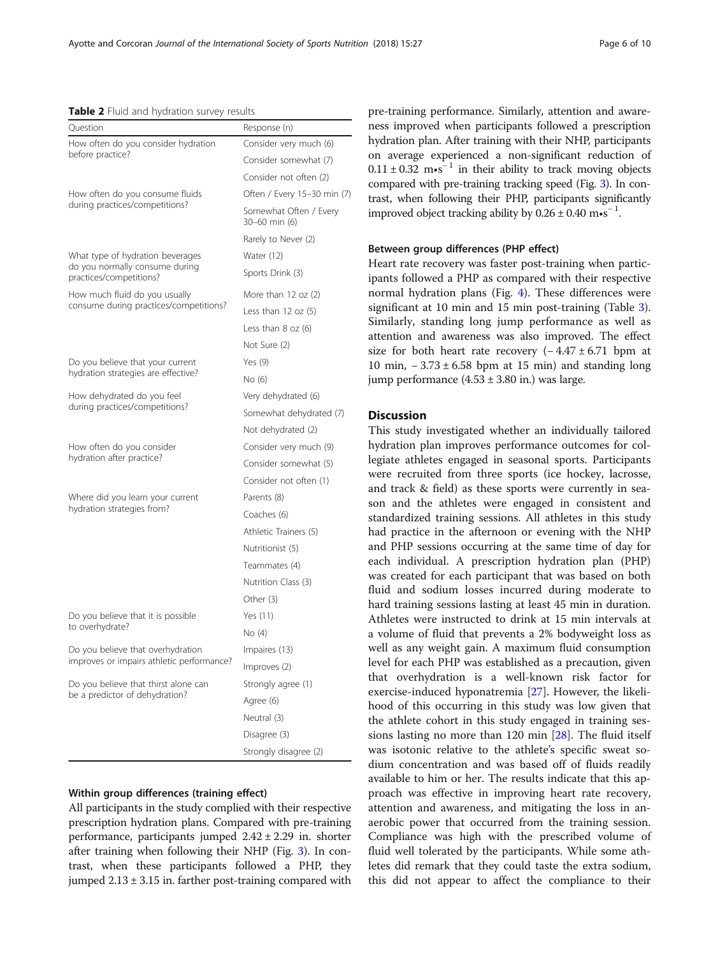#### <span id="page-6-0"></span>Table 2 Fluid and hydration survey results

| Question                                                  | Response (n)                            |  |
|-----------------------------------------------------------|-----------------------------------------|--|
| How often do you consider hydration                       | Consider very much (6)                  |  |
| before practice?                                          | Consider somewhat (7)                   |  |
|                                                           | Consider not often (2)                  |  |
| How often do you consume fluids                           | Often / Every 15-30 min (7)             |  |
| during practices/competitions?                            | Somewhat Often / Every<br>30-60 min (6) |  |
|                                                           | Rarely to Never (2)                     |  |
| What type of hydration beverages                          | Water (12)                              |  |
| do you normally consume during<br>practices/competitions? | Sports Drink (3)                        |  |
| How much fluid do you usually                             | More than 12 oz (2)                     |  |
| consume during practices/competitions?                    | Less than $12$ oz $(5)$                 |  |
|                                                           | Less than $8$ oz $(6)$                  |  |
|                                                           | Not Sure (2)                            |  |
| Do you believe that your current                          | Yes $(9)$                               |  |
| hydration strategies are effective?                       | No (6)                                  |  |
| How dehydrated do you feel                                | Very dehydrated (6)                     |  |
| during practices/competitions?                            | Somewhat dehydrated (7)                 |  |
|                                                           | Not dehydrated (2)                      |  |
| How often do you consider                                 | Consider very much (9)                  |  |
| hydration after practice?                                 | Consider somewhat (5)                   |  |
|                                                           | Consider not often (1)                  |  |
| Where did you learn your current                          | Parents (8)                             |  |
| hydration strategies from?                                | Coaches (6)                             |  |
|                                                           | Athletic Trainers (5)                   |  |
|                                                           | Nutritionist (5)                        |  |
|                                                           | Teammates (4)                           |  |
|                                                           | Nutrition Class (3)                     |  |
|                                                           | Other (3)                               |  |
| Do you believe that it is possible                        | Yes (11)                                |  |
| to overhydrate?                                           | No (4)                                  |  |
| Do you believe that overhydration                         | Impaires (13)                           |  |
| improves or impairs athletic performance?                 | Improves (2)                            |  |
| Do you believe that thirst alone can                      | Strongly agree (1)                      |  |
| be a predictor of dehydration?                            | Agree (6)                               |  |
|                                                           | Neutral (3)                             |  |
|                                                           | Disagree (3)                            |  |
|                                                           | Strongly disagree (2)                   |  |

#### Within group differences (training effect)

All participants in the study complied with their respective prescription hydration plans. Compared with pre-training performance, participants jumped  $2.42 \pm 2.29$  in. shorter after training when following their NHP (Fig. [3](#page-7-0)). In contrast, when these participants followed a PHP, they jumped  $2.13 \pm 3.15$  in. farther post-training compared with pre-training performance. Similarly, attention and awareness improved when participants followed a prescription hydration plan. After training with their NHP, participants on average experienced a non-significant reduction of  $0.11 \pm 0.32$  m•s<sup>-1</sup> in their ability to track moving objects compared with pre-training tracking speed (Fig. [3](#page-7-0)). In contrast, when following their PHP, participants significantly improved object tracking ability by  $0.26 \pm 0.40$  m•s<sup>-1</sup>.

#### Between group differences (PHP effect)

Heart rate recovery was faster post-training when participants followed a PHP as compared with their respective normal hydration plans (Fig. [4](#page-7-0)). These differences were significant at 10 min and 15 min post-training (Table [3](#page-8-0)). Similarly, standing long jump performance as well as attention and awareness was also improved. The effect size for both heart rate recovery  $(-4.47 \pm 6.71)$  bpm at 10 min,  $-3.73 \pm 6.58$  bpm at 15 min) and standing long jump performance  $(4.53 \pm 3.80 \text{ in.})$  was large.

#### Discussion

This study investigated whether an individually tailored hydration plan improves performance outcomes for collegiate athletes engaged in seasonal sports. Participants were recruited from three sports (ice hockey, lacrosse, and track & field) as these sports were currently in season and the athletes were engaged in consistent and standardized training sessions. All athletes in this study had practice in the afternoon or evening with the NHP and PHP sessions occurring at the same time of day for each individual. A prescription hydration plan (PHP) was created for each participant that was based on both fluid and sodium losses incurred during moderate to hard training sessions lasting at least 45 min in duration. Athletes were instructed to drink at 15 min intervals at a volume of fluid that prevents a 2% bodyweight loss as well as any weight gain. A maximum fluid consumption level for each PHP was established as a precaution, given that overhydration is a well-known risk factor for exercise-induced hyponatremia [\[27](#page-10-0)]. However, the likelihood of this occurring in this study was low given that the athlete cohort in this study engaged in training sessions lasting no more than 120 min [\[28](#page-10-0)]. The fluid itself was isotonic relative to the athlete's specific sweat sodium concentration and was based off of fluids readily available to him or her. The results indicate that this approach was effective in improving heart rate recovery, attention and awareness, and mitigating the loss in anaerobic power that occurred from the training session. Compliance was high with the prescribed volume of fluid well tolerated by the participants. While some athletes did remark that they could taste the extra sodium, this did not appear to affect the compliance to their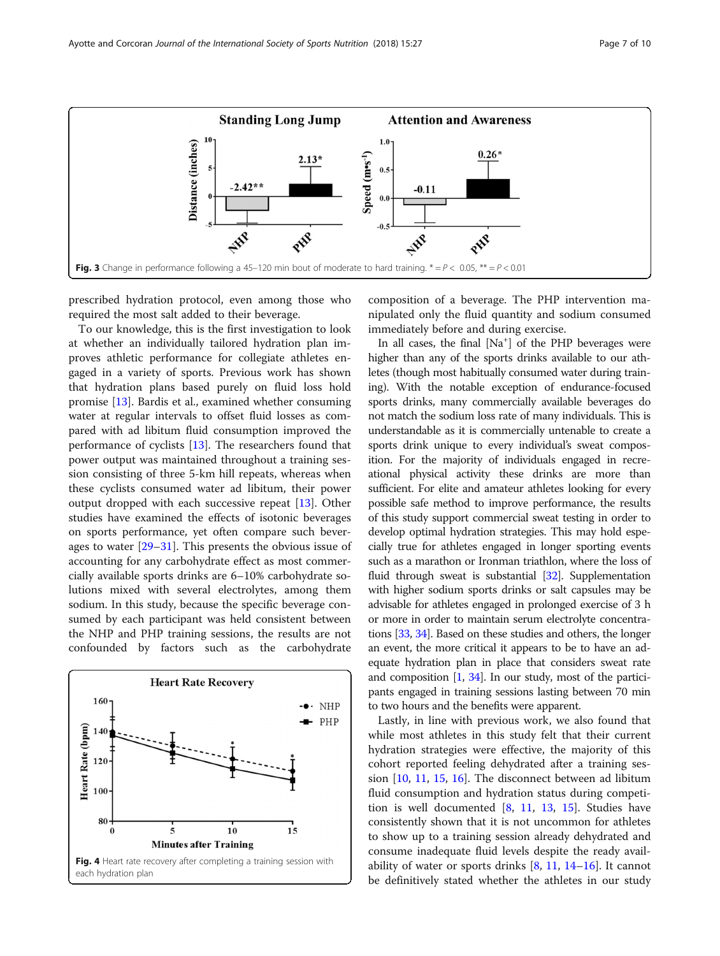<span id="page-7-0"></span>

prescribed hydration protocol, even among those who required the most salt added to their beverage.

To our knowledge, this is the first investigation to look at whether an individually tailored hydration plan improves athletic performance for collegiate athletes engaged in a variety of sports. Previous work has shown that hydration plans based purely on fluid loss hold promise [[13\]](#page-9-0). Bardis et al., examined whether consuming water at regular intervals to offset fluid losses as compared with ad libitum fluid consumption improved the performance of cyclists [\[13](#page-9-0)]. The researchers found that power output was maintained throughout a training session consisting of three 5-km hill repeats, whereas when these cyclists consumed water ad libitum, their power output dropped with each successive repeat [\[13](#page-9-0)]. Other studies have examined the effects of isotonic beverages on sports performance, yet often compare such beverages to water [\[29](#page-10-0)–[31\]](#page-10-0). This presents the obvious issue of accounting for any carbohydrate effect as most commercially available sports drinks are 6–10% carbohydrate solutions mixed with several electrolytes, among them sodium. In this study, because the specific beverage consumed by each participant was held consistent between the NHP and PHP training sessions, the results are not confounded by factors such as the carbohydrate



composition of a beverage. The PHP intervention manipulated only the fluid quantity and sodium consumed immediately before and during exercise.

In all cases, the final [Na<sup>+</sup>] of the PHP beverages were higher than any of the sports drinks available to our athletes (though most habitually consumed water during training). With the notable exception of endurance-focused sports drinks, many commercially available beverages do not match the sodium loss rate of many individuals. This is understandable as it is commercially untenable to create a sports drink unique to every individual's sweat composition. For the majority of individuals engaged in recreational physical activity these drinks are more than sufficient. For elite and amateur athletes looking for every possible safe method to improve performance, the results of this study support commercial sweat testing in order to develop optimal hydration strategies. This may hold especially true for athletes engaged in longer sporting events such as a marathon or Ironman triathlon, where the loss of fluid through sweat is substantial [\[32](#page-10-0)]. Supplementation with higher sodium sports drinks or salt capsules may be advisable for athletes engaged in prolonged exercise of 3 h or more in order to maintain serum electrolyte concentrations [[33](#page-10-0), [34](#page-10-0)]. Based on these studies and others, the longer an event, the more critical it appears to be to have an adequate hydration plan in place that considers sweat rate and composition [[1](#page-9-0), [34](#page-10-0)]. In our study, most of the participants engaged in training sessions lasting between 70 min to two hours and the benefits were apparent.

Lastly, in line with previous work, we also found that while most athletes in this study felt that their current hydration strategies were effective, the majority of this cohort reported feeling dehydrated after a training session [\[10,](#page-9-0) [11](#page-9-0), [15,](#page-9-0) [16\]](#page-9-0). The disconnect between ad libitum fluid consumption and hydration status during competition is well documented [[8](#page-9-0), [11,](#page-9-0) [13,](#page-9-0) [15\]](#page-9-0). Studies have consistently shown that it is not uncommon for athletes to show up to a training session already dehydrated and consume inadequate fluid levels despite the ready availability of water or sports drinks  $[8, 11, 14–16]$  $[8, 11, 14–16]$  $[8, 11, 14–16]$  $[8, 11, 14–16]$  $[8, 11, 14–16]$  $[8, 11, 14–16]$  $[8, 11, 14–16]$  $[8, 11, 14–16]$  $[8, 11, 14–16]$ . It cannot be definitively stated whether the athletes in our study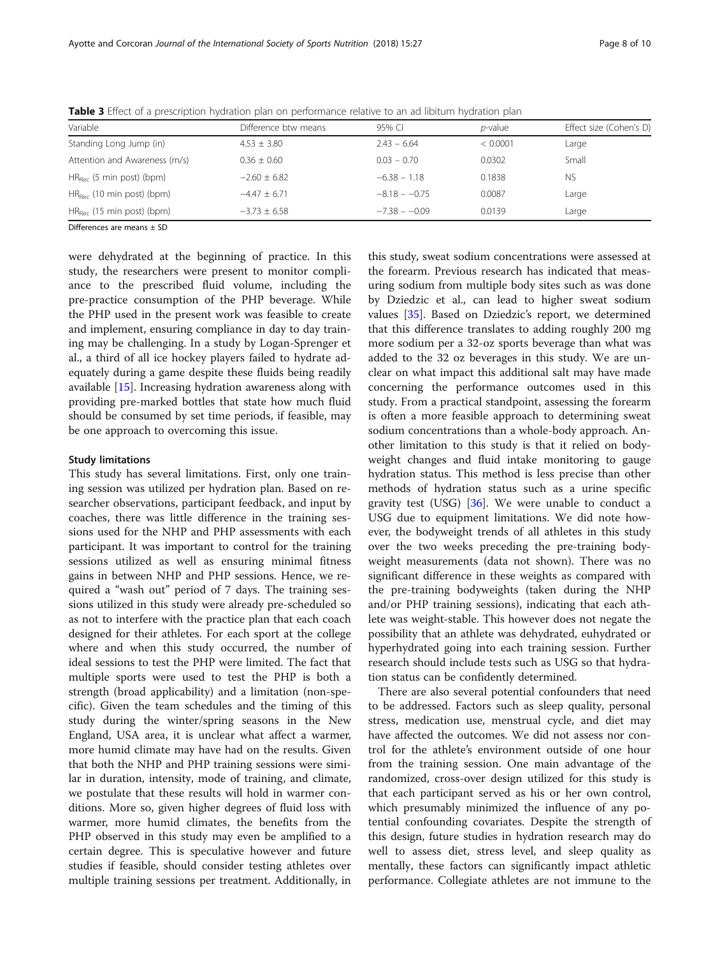| Variable                       | Difference btw means | 95% CI          | <i>p</i> -value | Effect size (Cohen's D) |
|--------------------------------|----------------------|-----------------|-----------------|-------------------------|
| Standing Long Jump (in)        | $4.53 \pm 3.80$      | $2.43 - 6.64$   | < 0.0001        | Large                   |
| Attention and Awareness (m/s)  | $0.36 + 0.60$        | $0.03 - 0.70$   | 0.0302          | Small                   |
| $HR_{Bec}$ (5 min post) (bpm)  | $-2.60 + 6.82$       | $-6.38 - 1.18$  | 0.1838          | <b>NS</b>               |
| $HR_{Rec}$ (10 min post) (bpm) | $-4.47 + 6.71$       | $-8.18 - -0.75$ | 0.0087          | Large                   |
| $HR_{Bec}$ (15 min post) (bpm) | $-3.73 \pm 6.58$     | $-7.38 - -0.09$ | 0.0139          | Large                   |
|                                |                      |                 |                 |                         |

<span id="page-8-0"></span>Table 3 Effect of a prescription hydration plan on performance relative to an ad libitum hydration plan

Differences are means ± SD

were dehydrated at the beginning of practice. In this study, the researchers were present to monitor compliance to the prescribed fluid volume, including the pre-practice consumption of the PHP beverage. While the PHP used in the present work was feasible to create and implement, ensuring compliance in day to day training may be challenging. In a study by Logan-Sprenger et al., a third of all ice hockey players failed to hydrate adequately during a game despite these fluids being readily available [[15](#page-9-0)]. Increasing hydration awareness along with providing pre-marked bottles that state how much fluid should be consumed by set time periods, if feasible, may be one approach to overcoming this issue.

#### Study limitations

This study has several limitations. First, only one training session was utilized per hydration plan. Based on researcher observations, participant feedback, and input by coaches, there was little difference in the training sessions used for the NHP and PHP assessments with each participant. It was important to control for the training sessions utilized as well as ensuring minimal fitness gains in between NHP and PHP sessions. Hence, we required a "wash out" period of 7 days. The training sessions utilized in this study were already pre-scheduled so as not to interfere with the practice plan that each coach designed for their athletes. For each sport at the college where and when this study occurred, the number of ideal sessions to test the PHP were limited. The fact that multiple sports were used to test the PHP is both a strength (broad applicability) and a limitation (non-specific). Given the team schedules and the timing of this study during the winter/spring seasons in the New England, USA area, it is unclear what affect a warmer, more humid climate may have had on the results. Given that both the NHP and PHP training sessions were similar in duration, intensity, mode of training, and climate, we postulate that these results will hold in warmer conditions. More so, given higher degrees of fluid loss with warmer, more humid climates, the benefits from the PHP observed in this study may even be amplified to a certain degree. This is speculative however and future studies if feasible, should consider testing athletes over multiple training sessions per treatment. Additionally, in

this study, sweat sodium concentrations were assessed at the forearm. Previous research has indicated that measuring sodium from multiple body sites such as was done by Dziedzic et al., can lead to higher sweat sodium values [\[35](#page-10-0)]. Based on Dziedzic's report, we determined that this difference translates to adding roughly 200 mg more sodium per a 32-oz sports beverage than what was added to the 32 oz beverages in this study. We are unclear on what impact this additional salt may have made concerning the performance outcomes used in this study. From a practical standpoint, assessing the forearm is often a more feasible approach to determining sweat sodium concentrations than a whole-body approach. Another limitation to this study is that it relied on bodyweight changes and fluid intake monitoring to gauge hydration status. This method is less precise than other methods of hydration status such as a urine specific gravity test (USG)  $[36]$  $[36]$ . We were unable to conduct a USG due to equipment limitations. We did note however, the bodyweight trends of all athletes in this study over the two weeks preceding the pre-training bodyweight measurements (data not shown). There was no significant difference in these weights as compared with the pre-training bodyweights (taken during the NHP and/or PHP training sessions), indicating that each athlete was weight-stable. This however does not negate the possibility that an athlete was dehydrated, euhydrated or hyperhydrated going into each training session. Further research should include tests such as USG so that hydration status can be confidently determined.

There are also several potential confounders that need to be addressed. Factors such as sleep quality, personal stress, medication use, menstrual cycle, and diet may have affected the outcomes. We did not assess nor control for the athlete's environment outside of one hour from the training session. One main advantage of the randomized, cross-over design utilized for this study is that each participant served as his or her own control, which presumably minimized the influence of any potential confounding covariates. Despite the strength of this design, future studies in hydration research may do well to assess diet, stress level, and sleep quality as mentally, these factors can significantly impact athletic performance. Collegiate athletes are not immune to the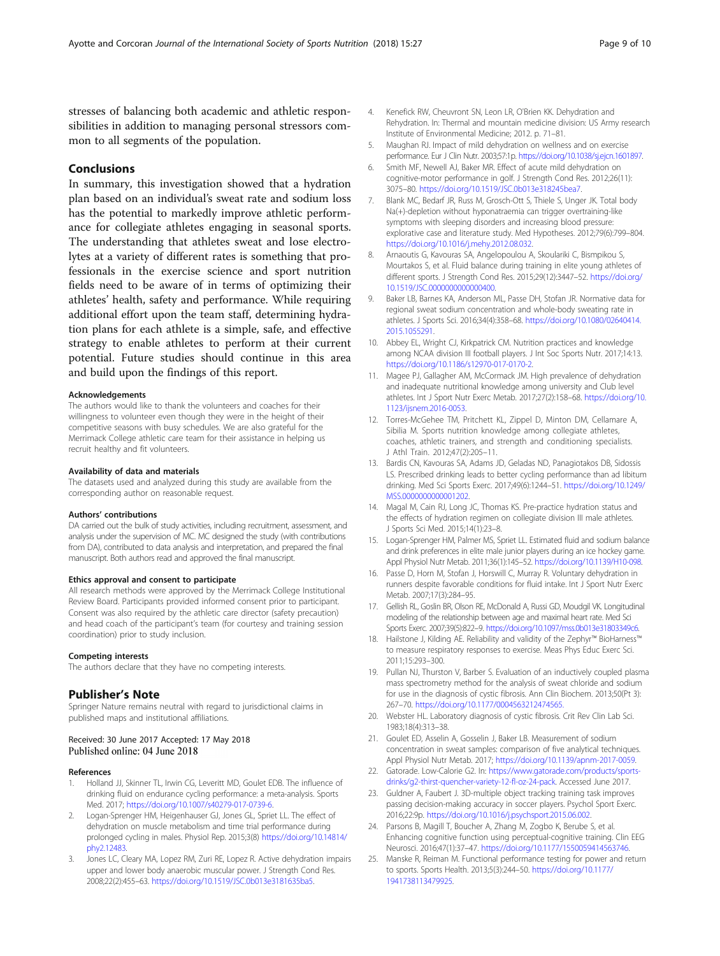<span id="page-9-0"></span>stresses of balancing both academic and athletic responsibilities in addition to managing personal stressors common to all segments of the population.

#### Conclusions

In summary, this investigation showed that a hydration plan based on an individual's sweat rate and sodium loss has the potential to markedly improve athletic performance for collegiate athletes engaging in seasonal sports. The understanding that athletes sweat and lose electrolytes at a variety of different rates is something that professionals in the exercise science and sport nutrition fields need to be aware of in terms of optimizing their athletes' health, safety and performance. While requiring additional effort upon the team staff, determining hydration plans for each athlete is a simple, safe, and effective strategy to enable athletes to perform at their current potential. Future studies should continue in this area and build upon the findings of this report.

#### Acknowledgements

The authors would like to thank the volunteers and coaches for their willingness to volunteer even though they were in the height of their competitive seasons with busy schedules. We are also grateful for the Merrimack College athletic care team for their assistance in helping us recruit healthy and fit volunteers.

#### Availability of data and materials

The datasets used and analyzed during this study are available from the corresponding author on reasonable request.

#### Authors' contributions

DA carried out the bulk of study activities, including recruitment, assessment, and analysis under the supervision of MC. MC designed the study (with contributions from DA), contributed to data analysis and interpretation, and prepared the final manuscript. Both authors read and approved the final manuscript.

#### Ethics approval and consent to participate

All research methods were approved by the Merrimack College Institutional Review Board. Participants provided informed consent prior to participant. Consent was also required by the athletic care director (safety precaution) and head coach of the participant's team (for courtesy and training session coordination) prior to study inclusion.

#### Competing interests

The authors declare that they have no competing interests.

#### Publisher's Note

Springer Nature remains neutral with regard to jurisdictional claims in published maps and institutional affiliations.

#### Received: 30 June 2017 Accepted: 17 May 2018 Published online: 04 June 2018

#### References

- 1. Holland JJ, Skinner TL, Irwin CG, Leveritt MD, Goulet EDB. The influence of drinking fluid on endurance cycling performance: a meta-analysis. Sports Med. 2017; <https://doi.org/10.1007/s40279-017-0739-6>.
- 2. Logan-Sprenger HM, Heigenhauser GJ, Jones GL, Spriet LL. The effect of dehydration on muscle metabolism and time trial performance during prolonged cycling in males. Physiol Rep. 2015;3(8) [https://doi.org/10.14814/](https://doi.org/10.14814/phy2.12483) [phy2.12483](https://doi.org/10.14814/phy2.12483).
- Jones LC, Cleary MA, Lopez RM, Zuri RE, Lopez R. Active dehydration impairs upper and lower body anaerobic muscular power. J Strength Cond Res. 2008;22(2):455–63. <https://doi.org/10.1519/JSC.0b013e3181635ba5>.
- 4. Kenefick RW, Cheuvront SN, Leon LR, O'Brien KK. Dehydration and Rehydration. In: Thermal and mountain medicine division: US Army research Institute of Environmental Medicine; 2012. p. 71–81.
- 5. Maughan RJ. Impact of mild dehydration on wellness and on exercise performance. Eur J Clin Nutr. 2003;57:1p. <https://doi.org/10.1038/sj.ejcn.1601897>.
- 6. Smith MF, Newell AJ, Baker MR. Effect of acute mild dehydration on cognitive-motor performance in golf. J Strength Cond Res. 2012;26(11): 3075–80. <https://doi.org/10.1519/JSC.0b013e318245bea7>.
- 7. Blank MC, Bedarf JR, Russ M, Grosch-Ott S, Thiele S, Unger JK. Total body Na(+)-depletion without hyponatraemia can trigger overtraining-like symptoms with sleeping disorders and increasing blood pressure: explorative case and literature study. Med Hypotheses. 2012;79(6):799–804. [https://doi.org/10.1016/j.mehy.2012.08.032.](https://doi.org/10.1016/j.mehy.2012.08.032)
- 8. Arnaoutis G, Kavouras SA, Angelopoulou A, Skoulariki C, Bismpikou S, Mourtakos S, et al. Fluid balance during training in elite young athletes of different sports. J Strength Cond Res. 2015;29(12):3447–52. [https://doi.org/](https://doi.org/10.1519/JSC.0000000000000400) [10.1519/JSC.0000000000000400](https://doi.org/10.1519/JSC.0000000000000400).
- Baker LB, Barnes KA, Anderson ML, Passe DH, Stofan JR. Normative data for regional sweat sodium concentration and whole-body sweating rate in athletes. J Sports Sci. 2016;34(4):358–68. [https://doi.org/10.1080/02640414.](https://doi.org/10.1080/02640414.2015.1055291) [2015.1055291](https://doi.org/10.1080/02640414.2015.1055291).
- 10. Abbey EL, Wright CJ, Kirkpatrick CM. Nutrition practices and knowledge among NCAA division III football players. J Int Soc Sports Nutr. 2017;14:13. <https://doi.org/10.1186/s12970-017-0170-2>.
- 11. Magee PJ, Gallagher AM, McCormack JM. High prevalence of dehydration and inadequate nutritional knowledge among university and Club level athletes. Int J Sport Nutr Exerc Metab. 2017;27(2):158–68. [https://doi.org/10.](https://doi.org/10.1123/ijsnem.2016-0053) [1123/ijsnem.2016-0053.](https://doi.org/10.1123/ijsnem.2016-0053)
- 12. Torres-McGehee TM, Pritchett KL, Zippel D, Minton DM, Cellamare A, Sibilia M. Sports nutrition knowledge among collegiate athletes, coaches, athletic trainers, and strength and conditioning specialists. J Athl Train. 2012;47(2):205–11.
- 13. Bardis CN, Kavouras SA, Adams JD, Geladas ND, Panagiotakos DB, Sidossis LS. Prescribed drinking leads to better cycling performance than ad libitum drinking. Med Sci Sports Exerc. 2017;49(6):1244–51. [https://doi.org/10.1249/](https://doi.org/10.1249/MSS.0000000000001202) [MSS.0000000000001202.](https://doi.org/10.1249/MSS.0000000000001202)
- 14. Magal M, Cain RJ, Long JC, Thomas KS. Pre-practice hydration status and the effects of hydration regimen on collegiate division III male athletes. J Sports Sci Med. 2015;14(1):23–8.
- 15. Logan-Sprenger HM, Palmer MS, Spriet LL. Estimated fluid and sodium balance and drink preferences in elite male junior players during an ice hockey game. Appl Physiol Nutr Metab. 2011;36(1):145–52. [https://doi.org/10.1139/H10-098.](https://doi.org/10.1139/H10-098)
- 16. Passe D, Horn M, Stofan J, Horswill C, Murray R. Voluntary dehydration in runners despite favorable conditions for fluid intake. Int J Sport Nutr Exerc Metab. 2007;17(3):284–95.
- 17. Gellish RL, Goslin BR, Olson RE, McDonald A, Russi GD, Moudgil VK. Longitudinal modeling of the relationship between age and maximal heart rate. Med Sci Sports Exerc. 2007;39(5):822–9. [https://doi.org/10.1097/mss.0b013e31803349c6.](https://doi.org/10.1097/mss.0b013e31803349c6)
- 18. Hailstone J, Kilding AE. Reliability and validity of the Zephyr™ BioHarness™ to measure respiratory responses to exercise. Meas Phys Educ Exerc Sci. 2011;15:293–300.
- 19. Pullan NJ, Thurston V, Barber S. Evaluation of an inductively coupled plasma mass spectrometry method for the analysis of sweat chloride and sodium for use in the diagnosis of cystic fibrosis. Ann Clin Biochem. 2013;50(Pt 3): 267–70. <https://doi.org/10.1177/0004563212474565.>
- 20. Webster HL. Laboratory diagnosis of cystic fibrosis. Crit Rev Clin Lab Sci. 1983;18(4):313–38.
- 21. Goulet ED, Asselin A, Gosselin J, Baker LB. Measurement of sodium concentration in sweat samples: comparison of five analytical techniques. Appl Physiol Nutr Metab. 2017; <https://doi.org/10.1139/apnm-2017-0059>.
- 22. Gatorade. Low-Calorie G2. In: [https://www.gatorade.com/products/sports](https://www.gatorade.com/products/sports-drinks/g2-thirst-quencher-variety-12-fl-oz-24-pack)[drinks/g2-thirst-quencher-variety-12-fl-oz-24-pack.](https://www.gatorade.com/products/sports-drinks/g2-thirst-quencher-variety-12-fl-oz-24-pack) Accessed June 2017.
- 23. Guldner A, Faubert J. 3D-multiple object tracking training task improves passing decision-making accuracy in soccer players. Psychol Sport Exerc. 2016;22:9p. <https://doi.org/10.1016/j.psychsport.2015.06.002>.
- 24. Parsons B, Magill T, Boucher A, Zhang M, Zogbo K, Berube S, et al. Enhancing cognitive function using perceptual-cognitive training. Clin EEG Neurosci. 2016;47(1):37–47. <https://doi.org/10.1177/1550059414563746>.
- 25. Manske R, Reiman M. Functional performance testing for power and return to sports. Sports Health. 2013;5(3):244–50. [https://doi.org/10.1177/](https://doi.org/10.1177/1941738113479925) [1941738113479925](https://doi.org/10.1177/1941738113479925).